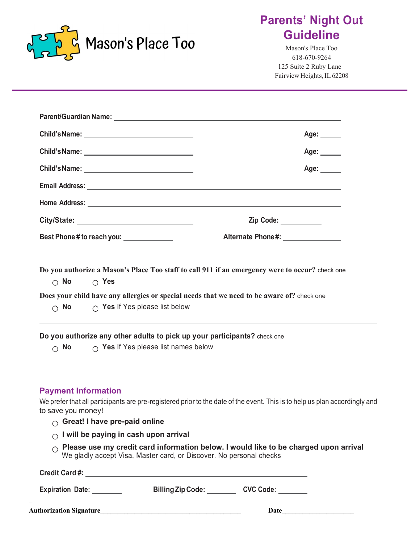

# **Parents' Night Out Guideline**

Mason's Place Too 618-670-9264 125 Suite 2 Ruby Lane Fairview Heights, IL 62208

|                                                                                                                                    | Age: $\_\_$                                                                                     |
|------------------------------------------------------------------------------------------------------------------------------------|-------------------------------------------------------------------------------------------------|
|                                                                                                                                    | Age: ______                                                                                     |
|                                                                                                                                    | Age:                                                                                            |
|                                                                                                                                    |                                                                                                 |
|                                                                                                                                    |                                                                                                 |
|                                                                                                                                    | Zip Code: ___________                                                                           |
| Best Phone # to reach you: _____________                                                                                           | Alternate Phone#: _______________                                                               |
| $\circ$ No $\circ$ Yes                                                                                                             | Do you authorize a Mason's Place Too staff to call 911 if an emergency were to occur? check one |
|                                                                                                                                    | Does your child have any allergies or special needs that we need to be aware of? check one      |
| $\bigcirc$ No $\bigcirc$ Yes If Yes please list below                                                                              |                                                                                                 |
| Do you authorize any other adults to pick up your participants? check one<br>$\circ$ No $\circ$ Yes If Yes please list names below |                                                                                                 |

#### **Payment Information**

\_

We prefer that all participants are pre-registered prior to the date of the event. This is to help us plan accordingly and to save you money!

- **Great! I have pre-paid online**
- **I will be paying in cash upon arrival**
- **Please use my credit card information below. I would like to be charged upon arrival** We gladly accept Visa, Master card, or Discover. No personal checks

| <b>Credit Card#:</b>            |                          |                  |
|---------------------------------|--------------------------|------------------|
| <b>Expiration Date:</b>         | <b>Billing Zip Code:</b> | <b>CVC Code:</b> |
| <b>Authorization Signature_</b> |                          | Date             |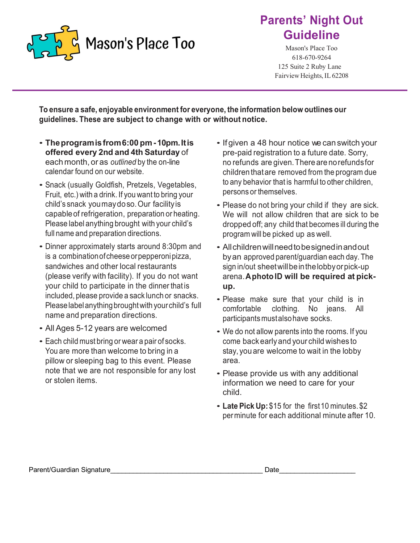

# **Parents' Night Out Guideline**

Mason's Place Too 618-670-9264 125 Suite 2 Ruby Lane Fairview Heights, IL 62208

**To ensure a safe, enjoyable environment for everyone, the information below outlines our guidelines. These are subject to change with or without notice.**

- **Theprogramisfrom6:00 pm-10pm.Itis offered every 2nd and 4th Saturday** of each month, or as *outlined* by the on-line calendar found on our website.
- Snack (usually Goldfish, Pretzels, Vegetables, Fruit, etc.) with a drink. If you want to bring your child's snack youmaydoso.Our facilityis capableof refrigeration, preparation or heating. Please label anything brought with your child's full name and preparation directions.
- Dinner approximately starts around 8:30pm and is a combinationofcheeseorpepperonipizza, sandwiches and other local restaurants (please verify with facility). If you do not want your child to participate in the dinner that is included, please provide a sack lunch or snacks. Pleaselabelanythingbroughtwith yourchild's full name and preparation directions.
- All Ages 5-12 years are welcomed
- Each child must bring or wear <sup>a</sup> pair of socks. You are more than welcome to bring in a pillow or sleeping bag to this event. Please note that we are not responsible for any lost or stolen items.
- If given a 48 hour notice we can switch your pre-paid registration to a future date. Sorry, no refunds are given.There are norefundsfor children thatare removed from the program due to any behavior that is harmful to other children, persons or themselves.
- Please do not bring your child if they are sick. We will not allow children that are sick to be dropped off; any child that becomes ill during the program will be picked up as well.
- Allchildrenwillneedtobesignedinandout byan approved parent/guardian each day. The sign in/out sheetwillbeinthelobbyorpick-up arena.**AphotoID will be required at pickup.**
- Please make sure that your child is in comfortable clothing. No jeans. All participantsmustalsohave socks.
- We do not allow parents into the rooms. If you come backearlyand your child wishes to stay, you are welcome to wait in the lobby area.
- Please provide us with any additional information we need to care for your child.
- **Late Pick Up:**\$15 for the first10 minutes.\$2 perminute for each additional minute after 10.

Parent/Guardian Signature\_\_\_\_\_\_\_\_\_\_\_\_\_\_\_\_\_\_\_\_\_\_\_\_\_\_\_\_\_\_\_\_\_\_\_\_\_\_\_\_ Date\_\_\_\_\_\_\_\_\_\_\_\_\_\_\_\_\_\_\_\_